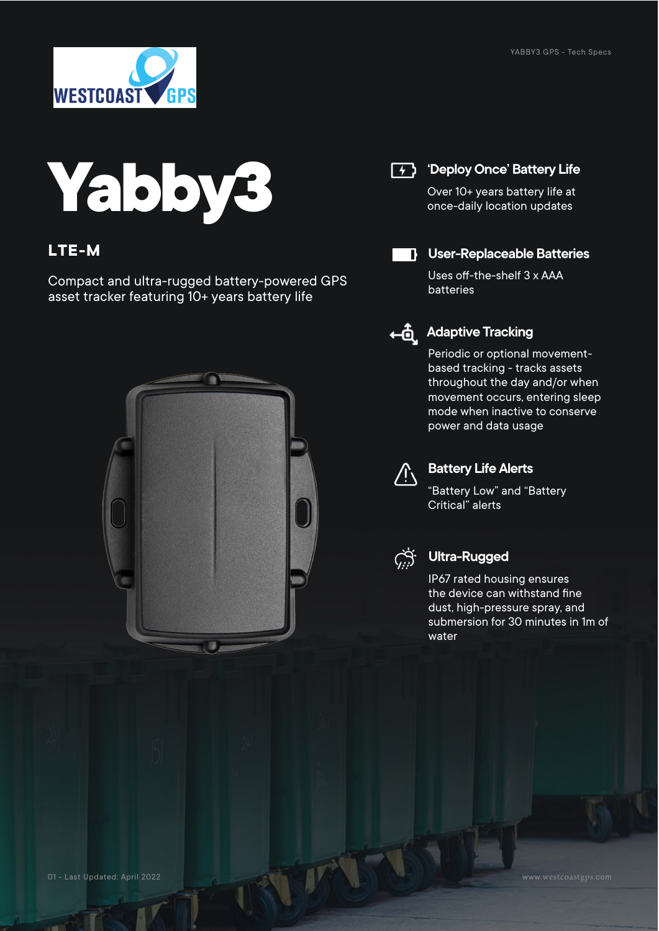

# **Yabby3**

#### **LTE-M**

Compact and ultra-rugged battery-powered GPS asset tracker featuring 10+ years battery life



#### **(4)** 'Deploy Once' Battery Life

Over 10+ years battery life at once-daily location updates



#### **User-Replaceable Batteries**

Uses off-the-shelf 3 x AAA batteries



## **Adaptive Tracking**

Periodic or optional movementbased tracking - tracks assets throughout the day and/or when movement occurs, entering sleep mode when inactive to conserve power and data usage



#### **Battery Life Alerts**

"Battery Low" and "Battery Critical" alerts



#### **Ultra-Rugged**

IP67 rated housing ensures the device can withstand fine dust, high-pressure spray, and submersion for 30 minutes in 1m of water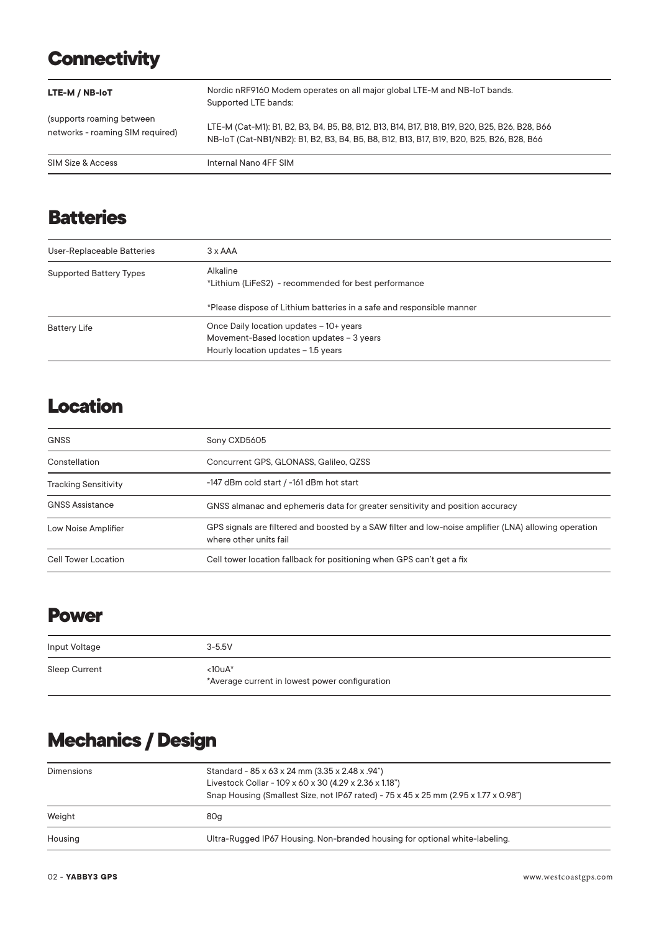## **Connectivity**

| LTE-M / NB-IoT                                                | Nordic nRF9160 Modem operates on all major global LTE-M and NB-IoT bands.<br>Supported LTE bands:                                                                                          |
|---------------------------------------------------------------|--------------------------------------------------------------------------------------------------------------------------------------------------------------------------------------------|
| (supports roaming between<br>networks - roaming SIM required) | LTE-M (Cat-M1): B1, B2, B3, B4, B5, B8, B12, B13, B14, B17, B18, B19, B20, B25, B26, B28, B66<br>NB-IoT (Cat-NB1/NB2): B1, B2, B3, B4, B5, B8, B12, B13, B17, B19, B20, B25, B26, B28, B66 |
| SIM Size & Access                                             | Internal Nano 4FF SIM                                                                                                                                                                      |

## **Batteries**

| User-Replaceable Batteries     | $3 \times AAA$                                                                                                                            |
|--------------------------------|-------------------------------------------------------------------------------------------------------------------------------------------|
| <b>Supported Battery Types</b> | Alkaline<br>*Lithium (LiFeS2) - recommended for best performance<br>*Please dispose of Lithium batteries in a safe and responsible manner |
| <b>Battery Life</b>            | Once Daily location updates - 10+ years<br>Movement-Based location updates - 3 years<br>Hourly location updates - 1.5 years               |

## **Location**

| <b>GNSS</b>                 | Sony CXD5605                                                                                                                    |
|-----------------------------|---------------------------------------------------------------------------------------------------------------------------------|
| Constellation               | Concurrent GPS, GLONASS, Galileo, QZSS                                                                                          |
| <b>Tracking Sensitivity</b> | -147 dBm cold start / -161 dBm hot start                                                                                        |
| <b>GNSS Assistance</b>      | GNSS almanac and ephemeris data for greater sensitivity and position accuracy                                                   |
| Low Noise Amplifier         | GPS signals are filtered and boosted by a SAW filter and low-noise amplifier (LNA) allowing operation<br>where other units fail |
| Cell Tower Location         | Cell tower location fallback for positioning when GPS can't get a fix                                                           |

#### **Power**

| Input Voltage | $3 - 5.5V$                                                 |
|---------------|------------------------------------------------------------|
| Sleep Current | $<10uA*$<br>*Average current in lowest power configuration |

# **Mechanics / Design**

| Dimensions | Standard - 85 x 63 x 24 mm (3.35 x 2.48 x .94")<br>Livestock Collar - 109 x 60 x 30 (4.29 x 2.36 x 1.18")<br>Snap Housing (Smallest Size, not IP67 rated) - 75 x 45 x 25 mm (2.95 x 1.77 x 0.98") |
|------------|---------------------------------------------------------------------------------------------------------------------------------------------------------------------------------------------------|
| Weight     | 80g                                                                                                                                                                                               |
| Housing    | Ultra-Rugged IP67 Housing. Non-branded housing for optional white-labeling.                                                                                                                       |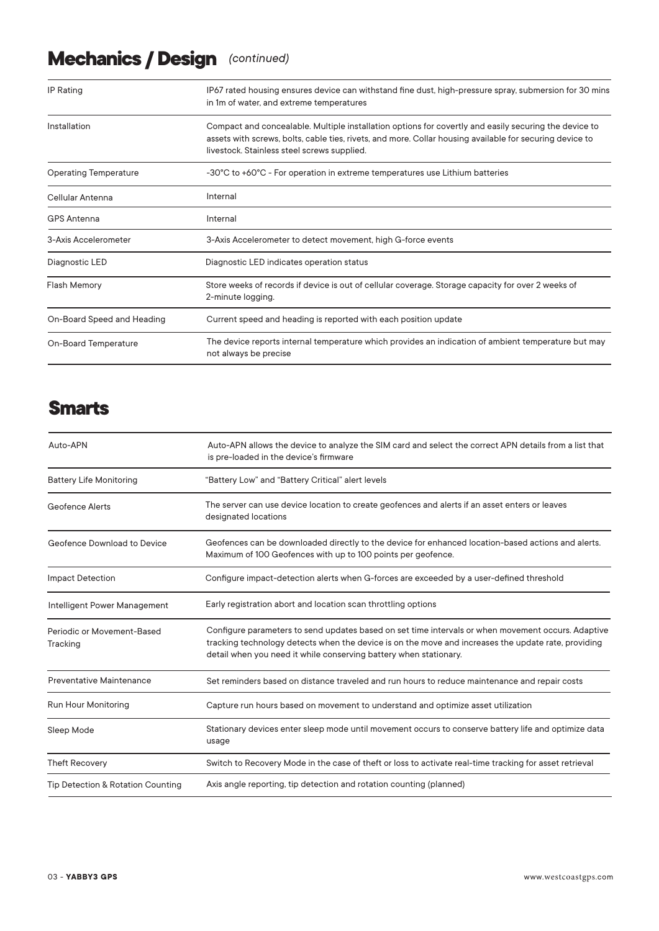# **Mechanics / Design** *(continued)*

| <b>IP Rating</b>             | IP67 rated housing ensures device can withstand fine dust, high-pressure spray, submersion for 30 mins<br>in 1m of water, and extreme temperatures                                                                                                               |
|------------------------------|------------------------------------------------------------------------------------------------------------------------------------------------------------------------------------------------------------------------------------------------------------------|
| Installation                 | Compact and concealable. Multiple installation options for covertly and easily securing the device to<br>assets with screws, bolts, cable ties, rivets, and more. Collar housing available for securing device to<br>livestock. Stainless steel screws supplied. |
| <b>Operating Temperature</b> | -30°C to +60°C - For operation in extreme temperatures use Lithium batteries                                                                                                                                                                                     |
| Cellular Antenna             | Internal                                                                                                                                                                                                                                                         |
| <b>GPS Antenna</b>           | Internal                                                                                                                                                                                                                                                         |
| 3-Axis Accelerometer         | 3-Axis Accelerometer to detect movement, high G-force events                                                                                                                                                                                                     |
| Diagnostic LED               | Diagnostic LED indicates operation status                                                                                                                                                                                                                        |
| <b>Flash Memory</b>          | Store weeks of records if device is out of cellular coverage. Storage capacity for over 2 weeks of<br>2-minute logging.                                                                                                                                          |
| On-Board Speed and Heading   | Current speed and heading is reported with each position update                                                                                                                                                                                                  |
| On-Board Temperature         | The device reports internal temperature which provides an indication of ambient temperature but may<br>not always be precise                                                                                                                                     |

#### **Smarts**

| Auto-APN                               | Auto-APN allows the device to analyze the SIM card and select the correct APN details from a list that<br>is pre-loaded in the device's firmware                                                                                                                               |
|----------------------------------------|--------------------------------------------------------------------------------------------------------------------------------------------------------------------------------------------------------------------------------------------------------------------------------|
| <b>Battery Life Monitoring</b>         | "Battery Low" and "Battery Critical" alert levels                                                                                                                                                                                                                              |
| Geofence Alerts                        | The server can use device location to create geofences and alerts if an asset enters or leaves<br>designated locations                                                                                                                                                         |
| Geofence Download to Device            | Geofences can be downloaded directly to the device for enhanced location-based actions and alerts.<br>Maximum of 100 Geofences with up to 100 points per geofence.                                                                                                             |
| <b>Impact Detection</b>                | Configure impact-detection alerts when G-forces are exceeded by a user-defined threshold                                                                                                                                                                                       |
| Intelligent Power Management           | Early registration abort and location scan throttling options                                                                                                                                                                                                                  |
| Periodic or Movement-Based<br>Tracking | Configure parameters to send updates based on set time intervals or when movement occurs. Adaptive<br>tracking technology detects when the device is on the move and increases the update rate, providing<br>detail when you need it while conserving battery when stationary. |
| <b>Preventative Maintenance</b>        | Set reminders based on distance traveled and run hours to reduce maintenance and repair costs                                                                                                                                                                                  |
| <b>Run Hour Monitoring</b>             | Capture run hours based on movement to understand and optimize asset utilization                                                                                                                                                                                               |
| Sleep Mode                             | Stationary devices enter sleep mode until movement occurs to conserve battery life and optimize data<br>usage                                                                                                                                                                  |
| <b>Theft Recovery</b>                  | Switch to Recovery Mode in the case of theft or loss to activate real-time tracking for asset retrieval                                                                                                                                                                        |
| Tip Detection & Rotation Counting      | Axis angle reporting, tip detection and rotation counting (planned)                                                                                                                                                                                                            |